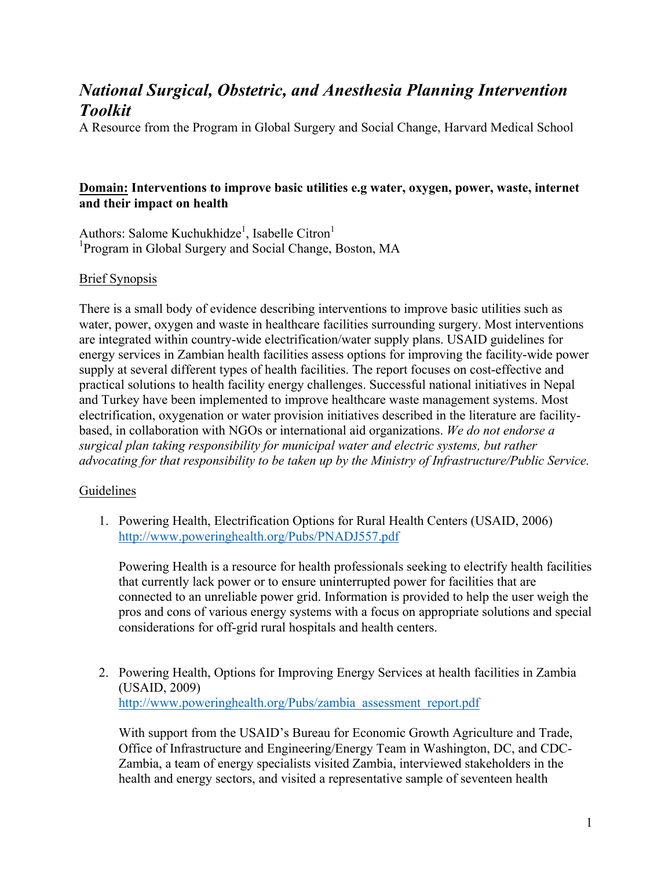# *National Surgical, Obstetric, and Anesthesia Planning Intervention Toolkit*

A Resource from the Program in Global Surgery and Social Change, Harvard Medical School

## **Domain: Interventions to improve basic utilities e.g water, oxygen, power, waste, internet and their impact on health**

Authors: Salome Kuchukhidze<sup>1</sup>, Isabelle Citron<sup>1</sup> <sup>1</sup>Program in Global Surgery and Social Change, Boston, MA

## Brief Synopsis

There is a small body of evidence describing interventions to improve basic utilities such as water, power, oxygen and waste in healthcare facilities surrounding surgery. Most interventions are integrated within country-wide electrification/water supply plans. USAID guidelines for energy services in Zambian health facilities assess options for improving the facility-wide power supply at several different types of health facilities. The report focuses on cost-effective and practical solutions to health facility energy challenges. Successful national initiatives in Nepal and Turkey have been implemented to improve healthcare waste management systems. Most electrification, oxygenation or water provision initiatives described in the literature are facilitybased, in collaboration with NGOs or international aid organizations. *We do not endorse a surgical plan taking responsibility for municipal water and electric systems, but rather advocating for that responsibility to be taken up by the Ministry of Infrastructure/Public Service.*

## Guidelines

1. Powering Health, Electrification Options for Rural Health Centers (USAID, 2006) http://www.poweringhealth.org/Pubs/PNADJ557.pdf

Powering Health is a resource for health professionals seeking to electrify health facilities that currently lack power or to ensure uninterrupted power for facilities that are connected to an unreliable power grid. Information is provided to help the user weigh the pros and cons of various energy systems with a focus on appropriate solutions and special considerations for off-grid rural hospitals and health centers.

2. Powering Health, Options for Improving Energy Services at health facilities in Zambia (USAID, 2009) http://www.poweringhealth.org/Pubs/zambia\_assessment\_report.pdf

With support from the USAID's Bureau for Economic Growth Agriculture and Trade, Office of Infrastructure and Engineering/Energy Team in Washington, DC, and CDC-Zambia, a team of energy specialists visited Zambia, interviewed stakeholders in the health and energy sectors, and visited a representative sample of seventeen health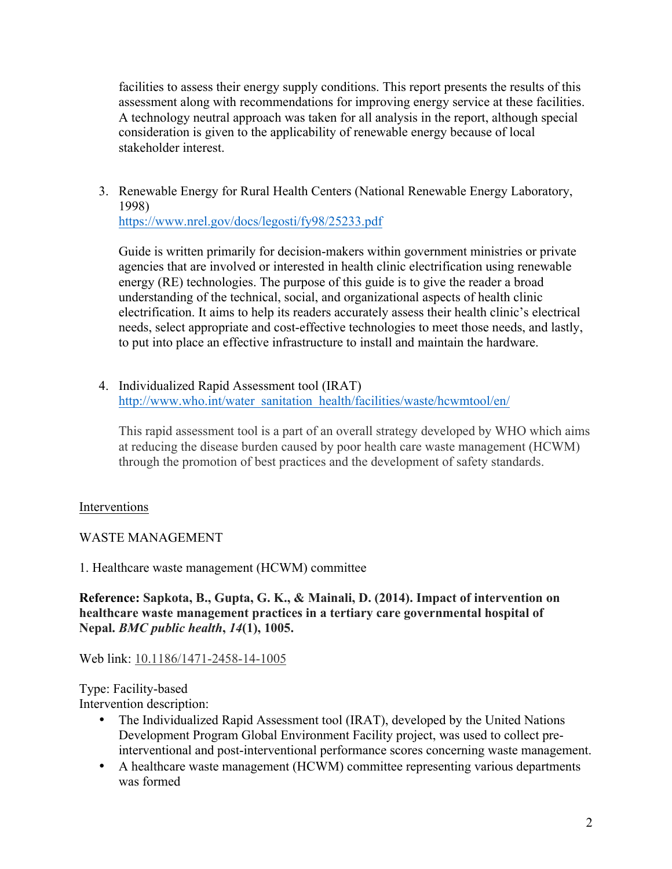facilities to assess their energy supply conditions. This report presents the results of this assessment along with recommendations for improving energy service at these facilities. A technology neutral approach was taken for all analysis in the report, although special consideration is given to the applicability of renewable energy because of local stakeholder interest.

3. Renewable Energy for Rural Health Centers (National Renewable Energy Laboratory, 1998)

https://www.nrel.gov/docs/legosti/fy98/25233.pdf

Guide is written primarily for decision-makers within government ministries or private agencies that are involved or interested in health clinic electrification using renewable energy (RE) technologies. The purpose of this guide is to give the reader a broad understanding of the technical, social, and organizational aspects of health clinic electrification. It aims to help its readers accurately assess their health clinic's electrical needs, select appropriate and cost-effective technologies to meet those needs, and lastly, to put into place an effective infrastructure to install and maintain the hardware.

4. Individualized Rapid Assessment tool (IRAT) http://www.who.int/water\_sanitation\_health/facilities/waste/hcwmtool/en/

This rapid assessment tool is a part of an overall strategy developed by WHO which aims at reducing the disease burden caused by poor health care waste management (HCWM) through the promotion of best practices and the development of safety standards.

# Interventions

WASTE MANAGEMENT

1. Healthcare waste management (HCWM) committee

**Reference: Sapkota, B., Gupta, G. K., & Mainali, D. (2014). Impact of intervention on healthcare waste management practices in a tertiary care governmental hospital of Nepal.** *BMC public health***,** *14***(1), 1005.**

# Web link: 10.1186/1471-2458-14-1005

Type: Facility-based Intervention description:

- The Individualized Rapid Assessment tool (IRAT), developed by the United Nations Development Program Global Environment Facility project, was used to collect preinterventional and post-interventional performance scores concerning waste management.
- A healthcare waste management (HCWM) committee representing various departments was formed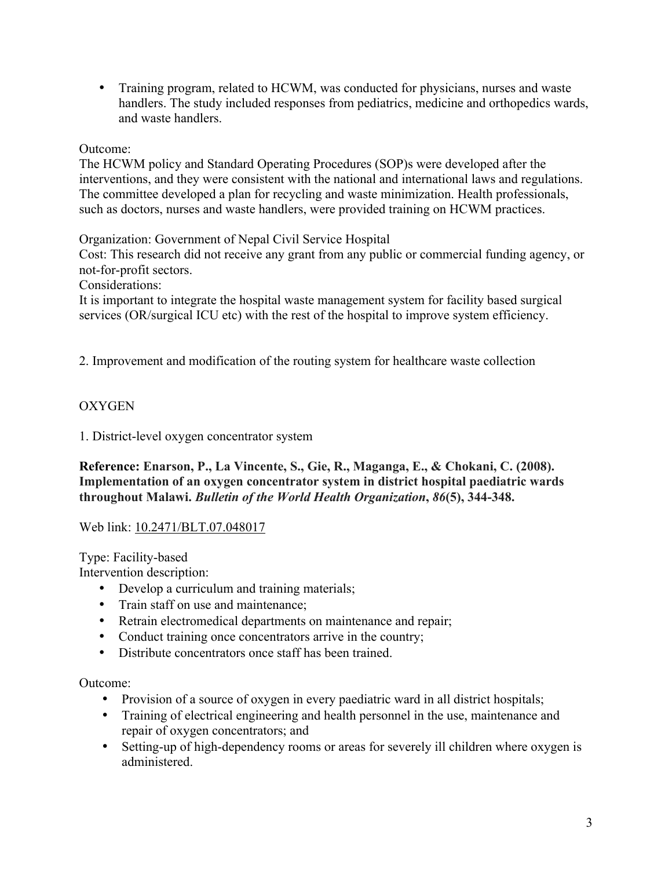• Training program, related to HCWM, was conducted for physicians, nurses and waste handlers. The study included responses from pediatrics, medicine and orthopedics wards, and waste handlers.

## Outcome:

The HCWM policy and Standard Operating Procedures (SOP)s were developed after the interventions, and they were consistent with the national and international laws and regulations. The committee developed a plan for recycling and waste minimization. Health professionals, such as doctors, nurses and waste handlers, were provided training on HCWM practices.

Organization: Government of Nepal Civil Service Hospital

Cost: This research did not receive any grant from any public or commercial funding agency, or not-for-profit sectors.

Considerations:

It is important to integrate the hospital waste management system for facility based surgical services (OR/surgical ICU etc) with the rest of the hospital to improve system efficiency.

2. Improvement and modification of the routing system for healthcare waste collection

# **OXYGEN**

1. District-level oxygen concentrator system

**Reference: Enarson, P., La Vincente, S., Gie, R., Maganga, E., & Chokani, C. (2008). Implementation of an oxygen concentrator system in district hospital paediatric wards throughout Malawi.** *Bulletin of the World Health Organization***,** *86***(5), 344-348.**

Web link: 10.2471/BLT.07.048017

Type: Facility-based

Intervention description:

- Develop a curriculum and training materials;
- Train staff on use and maintenance:
- Retrain electromedical departments on maintenance and repair;
- Conduct training once concentrators arrive in the country;
- Distribute concentrators once staff has been trained.

Outcome:

- Provision of a source of oxygen in every paediatric ward in all district hospitals;
- Training of electrical engineering and health personnel in the use, maintenance and repair of oxygen concentrators; and
- Setting-up of high-dependency rooms or areas for severely ill children where oxygen is administered.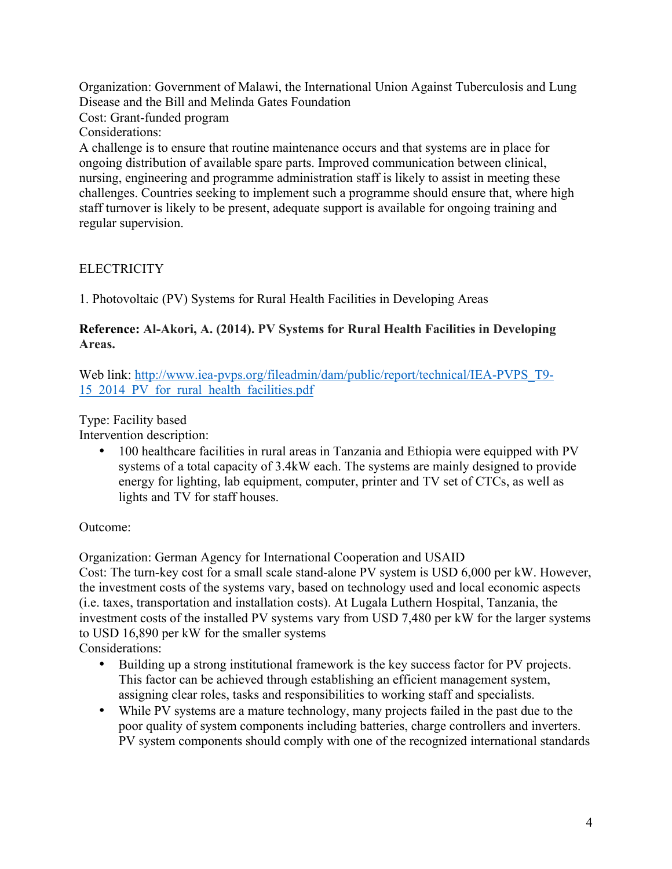Organization: Government of Malawi, the International Union Against Tuberculosis and Lung Disease and the Bill and Melinda Gates Foundation

Cost: Grant-funded program

Considerations:

A challenge is to ensure that routine maintenance occurs and that systems are in place for ongoing distribution of available spare parts. Improved communication between clinical, nursing, engineering and programme administration staff is likely to assist in meeting these challenges. Countries seeking to implement such a programme should ensure that, where high staff turnover is likely to be present, adequate support is available for ongoing training and regular supervision.

**ELECTRICITY** 

1. Photovoltaic (PV) Systems for Rural Health Facilities in Developing Areas

## **Reference: Al-Akori, A. (2014). PV Systems for Rural Health Facilities in Developing Areas.**

Web link: http://www.iea-pvps.org/fileadmin/dam/public/report/technical/IEA-PVPS\_T9- 15\_2014\_PV\_for\_rural\_health\_facilities.pdf

Type: Facility based

Intervention description:

• 100 healthcare facilities in rural areas in Tanzania and Ethiopia were equipped with PV systems of a total capacity of 3.4kW each. The systems are mainly designed to provide energy for lighting, lab equipment, computer, printer and TV set of CTCs, as well as lights and TV for staff houses.

Outcome:

Organization: German Agency for International Cooperation and USAID

Cost: The turn-key cost for a small scale stand-alone PV system is USD 6,000 per kW. However, the investment costs of the systems vary, based on technology used and local economic aspects (i.e. taxes, transportation and installation costs). At Lugala Luthern Hospital, Tanzania, the investment costs of the installed PV systems vary from USD 7,480 per kW for the larger systems to USD 16,890 per kW for the smaller systems

Considerations:

- Building up a strong institutional framework is the key success factor for PV projects. This factor can be achieved through establishing an efficient management system, assigning clear roles, tasks and responsibilities to working staff and specialists.
- While PV systems are a mature technology, many projects failed in the past due to the poor quality of system components including batteries, charge controllers and inverters. PV system components should comply with one of the recognized international standards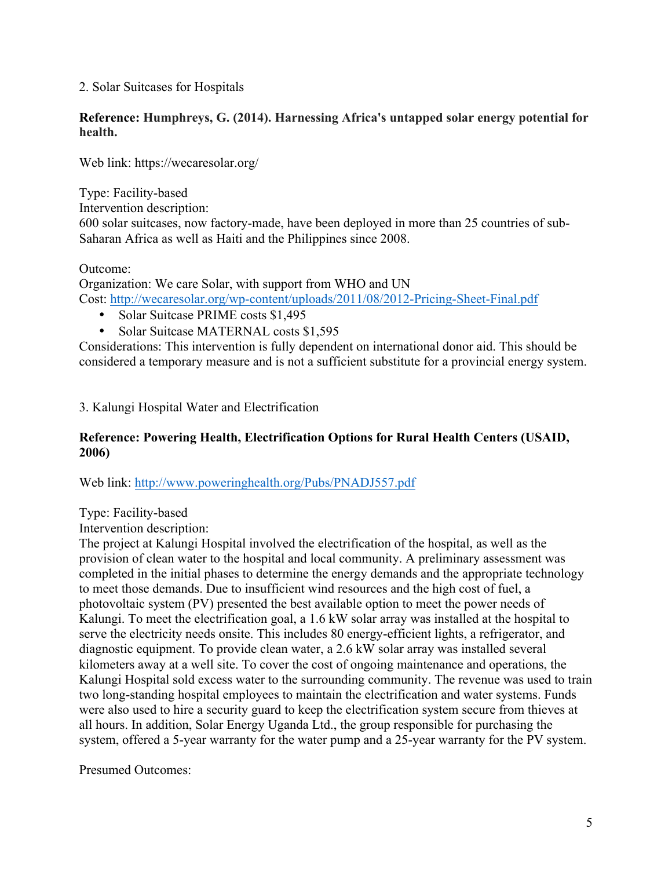## 2. Solar Suitcases for Hospitals

#### **Reference: Humphreys, G. (2014). Harnessing Africa's untapped solar energy potential for health.**

Web link: https://wecaresolar.org/

Type: Facility-based Intervention description: 600 solar suitcases, now factory-made, have been deployed in more than 25 countries of sub-Saharan Africa as well as Haiti and the Philippines since 2008.

Outcome:

Organization: We care Solar, with support from WHO and UN Cost: http://wecaresolar.org/wp-content/uploads/2011/08/2012-Pricing-Sheet-Final.pdf

- Solar Suitcase PRIME costs \$1,495
- Solar Suitcase MATERNAL costs \$1,595

Considerations: This intervention is fully dependent on international donor aid. This should be considered a temporary measure and is not a sufficient substitute for a provincial energy system.

3. Kalungi Hospital Water and Electrification

## **Reference: Powering Health, Electrification Options for Rural Health Centers (USAID, 2006)**

Web link: http://www.poweringhealth.org/Pubs/PNADJ557.pdf

Type: Facility-based

Intervention description:

The project at Kalungi Hospital involved the electrification of the hospital, as well as the provision of clean water to the hospital and local community. A preliminary assessment was completed in the initial phases to determine the energy demands and the appropriate technology to meet those demands. Due to insufficient wind resources and the high cost of fuel, a photovoltaic system (PV) presented the best available option to meet the power needs of Kalungi. To meet the electrification goal, a 1.6 kW solar array was installed at the hospital to serve the electricity needs onsite. This includes 80 energy-efficient lights, a refrigerator, and diagnostic equipment. To provide clean water, a 2.6 kW solar array was installed several kilometers away at a well site. To cover the cost of ongoing maintenance and operations, the Kalungi Hospital sold excess water to the surrounding community. The revenue was used to train two long-standing hospital employees to maintain the electrification and water systems. Funds were also used to hire a security guard to keep the electrification system secure from thieves at all hours. In addition, Solar Energy Uganda Ltd., the group responsible for purchasing the system, offered a 5-year warranty for the water pump and a 25-year warranty for the PV system.

Presumed Outcomes: